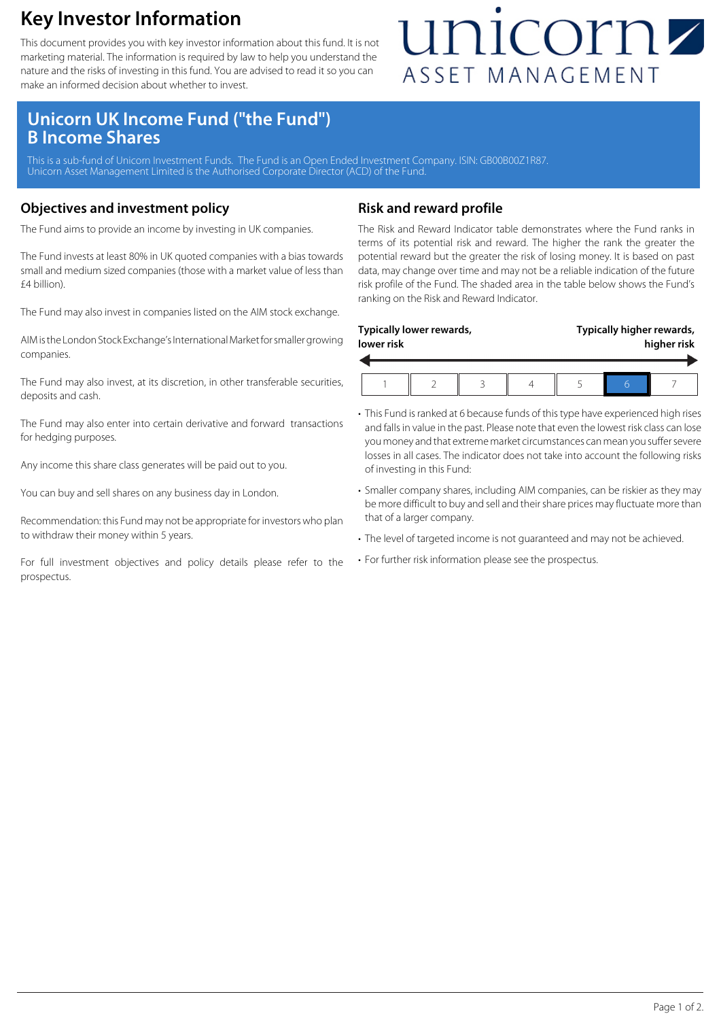### **Key Investor Information**

This document provides you with key investor information about this fund. It is not marketing material. The information is required by law to help you understand the nature and the risks of investing in this fund. You are advised to read it so you can make an informed decision about whether to invest.

## unicornz ASSET MANAGEMENT

### **Unicorn UK Income Fund ("the Fund") B Income Shares**

This is a sub-fund of Unicorn Investment Funds. The Fund is an Open Ended Investment Company. ISIN: GB00B00Z1R87 Unicorn Asset Management Limited is the Authorised Corporate Director (ACD) of the Fund.

#### **Objectives and investment policy**

The Fund aims to provide an income by investing in UK companies.

The Fund invests at least 80% in UK quoted companies with a bias towards small and medium sized companies (those with a market value of less than £4 billion).

The Fund may also invest in companies listed on the AIM stock exchange.

AIM is the London Stock Exchange's International Market for smaller growing companies.

The Fund may also invest, at its discretion, in other transferable securities, deposits and cash.

The Fund may also enter into certain derivative and forward transactions for hedging purposes.

Any income this share class generates will be paid out to you.

You can buy and sell shares on any business day in London.

Recommendation: this Fund may not be appropriate for investors who plan to withdraw their money within 5 years.

For full investment objectives and policy details please refer to the prospectus.

#### **Risk and reward profile**

The Risk and Reward Indicator table demonstrates where the Fund ranks in terms of its potential risk and reward. The higher the rank the greater the potential reward but the greater the risk of losing money. It is based on past data, may change over time and may not be a reliable indication of the future risk profile of the Fund. The shaded area in the table below shows the Fund's ranking on the Risk and Reward Indicator.

| Typically higher rewards,<br>Typically lower rewards,<br>lower risk |  |  |  |  | higher risk |  |  |
|---------------------------------------------------------------------|--|--|--|--|-------------|--|--|
|                                                                     |  |  |  |  |             |  |  |

- This Fund is ranked at 6 because funds of this type have experienced high rises and falls in value in the past. Please note that even the lowest risk class can lose you money and that extreme market circumstances can mean you suffer severe losses in all cases. The indicator does not take into account the following risks of investing in this Fund:
- Smaller company shares, including AIM companies, can be riskier as they may be more difficult to buy and sell and their share prices may fluctuate more than that of a larger company.
- The level of targeted income is not guaranteed and may not be achieved.
- For further risk information please see the prospectus.